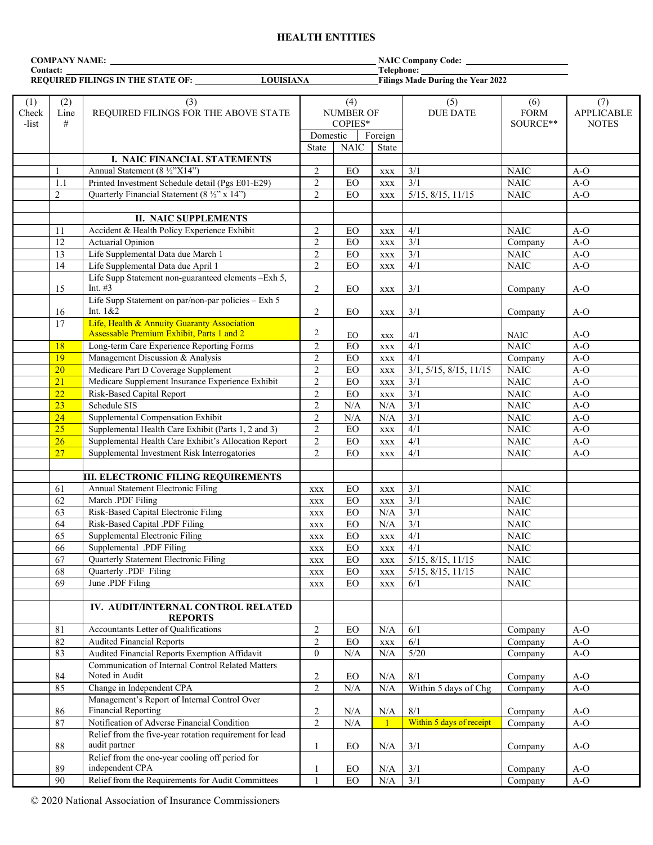# **HEALTH ENTITIES**

| <b>COMPANY NAME:</b> THE STATE STATE STATE STATES AND THE STATE STATES.  |                                                                 |                                                                                          |                                                           |                     |                             |                           |                                |                                          |
|--------------------------------------------------------------------------|-----------------------------------------------------------------|------------------------------------------------------------------------------------------|-----------------------------------------------------------|---------------------|-----------------------------|---------------------------|--------------------------------|------------------------------------------|
| Contact:<br><b>LOUISIANA</b><br><b>REQUIRED FILINGS IN THE STATE OF:</b> |                                                                 | Telephone:<br><b>Filings Made During the Year 2022</b>                                   |                                                           |                     |                             |                           |                                |                                          |
|                                                                          |                                                                 |                                                                                          |                                                           |                     |                             |                           |                                |                                          |
| (1)<br>Check<br>-list                                                    | (3)<br>(2)<br>REQUIRED FILINGS FOR THE ABOVE STATE<br>Line<br># |                                                                                          | (4)<br><b>NUMBER OF</b><br>COPIES*<br>Domestic<br>Foreign |                     |                             | (5)<br><b>DUE DATE</b>    | (6)<br><b>FORM</b><br>SOURCE** | (7)<br><b>APPLICABLE</b><br><b>NOTES</b> |
|                                                                          |                                                                 |                                                                                          | State                                                     | <b>NAIC</b>         | State                       |                           |                                |                                          |
|                                                                          |                                                                 | I. NAIC FINANCIAL STATEMENTS                                                             |                                                           |                     |                             |                           |                                |                                          |
|                                                                          | $\mathbf{1}$                                                    | Annual Statement (8 ½"X14")                                                              | $\overline{c}$                                            | EO                  | <b>XXX</b>                  | 3/1                       | <b>NAIC</b>                    | $A-O$                                    |
|                                                                          | 1.1                                                             | Printed Investment Schedule detail (Pgs E01-E29)                                         | $\overline{c}$                                            | ${\rm EO}$          | XXX                         | 3/1                       | <b>NAIC</b>                    | $A-O$                                    |
|                                                                          | $\sqrt{2}$                                                      | Quarterly Financial Statement (8 ½" x 14")                                               | $\mathbf{2}$                                              | $EO$                | <b>XXX</b>                  | $5/15$ , $8/15$ , $11/15$ | <b>NAIC</b>                    | $A-O$                                    |
|                                                                          |                                                                 |                                                                                          |                                                           |                     |                             |                           |                                |                                          |
|                                                                          |                                                                 | <b>II. NAIC SUPPLEMENTS</b>                                                              |                                                           |                     |                             |                           |                                |                                          |
|                                                                          | 11                                                              | Accident & Health Policy Experience Exhibit                                              | $\overline{c}$                                            | $EO$                | <b>XXX</b>                  | 4/1                       | <b>NAIC</b>                    | $A-O$                                    |
|                                                                          | 12                                                              | Actuarial Opinion                                                                        | $\mathbf{2}$                                              | EO                  | <b>XXX</b>                  | 3/1                       | Company                        | $A-O$                                    |
|                                                                          | 13                                                              | Life Supplemental Data due March 1                                                       | $\mathbf{2}$                                              | $EO$                | <b>XXX</b>                  | 3/1                       | <b>NAIC</b>                    | $A-O$                                    |
|                                                                          | 14                                                              | Life Supplemental Data due April 1                                                       | $\overline{2}$                                            | EO                  | <b>XXX</b>                  | 4/1                       | <b>NAIC</b>                    | $A-O$                                    |
|                                                                          |                                                                 | Life Supp Statement non-guaranteed elements -Exh 5,                                      |                                                           |                     |                             |                           |                                |                                          |
|                                                                          | 15                                                              | Int. $#3$                                                                                | $\overline{c}$                                            | $EO$                | <b>XXX</b>                  | 3/1                       | Company                        | $A-O$                                    |
|                                                                          |                                                                 | Life Supp Statement on par/non-par policies - Exh 5<br>Int. 1&2                          |                                                           |                     |                             |                           |                                |                                          |
|                                                                          | 16                                                              |                                                                                          | $\overline{c}$                                            | EO                  | <b>XXX</b>                  | 3/1                       | Company                        | $A-O$                                    |
|                                                                          | 17                                                              | Life, Health & Annuity Guaranty Association<br>Assessable Premium Exhibit, Parts 1 and 2 | $\overline{2}$                                            |                     |                             |                           |                                | $A-O$                                    |
|                                                                          | 18                                                              | Long-term Care Experience Reporting Forms                                                | $\mathbf{2}$                                              | $E_{\rm O}$<br>$EO$ | $\mathbf{XXX}$              | 4/1<br>4/1                | <b>NAIC</b><br>NAIC            | $A-O$                                    |
|                                                                          | 19                                                              | Management Discussion & Analysis                                                         | $\overline{2}$                                            | $EO$                | XXX                         | 4/1                       | Company                        | $A-O$                                    |
|                                                                          | 20                                                              | Medicare Part D Coverage Supplement                                                      | $\overline{c}$                                            | EO                  | <b>XXX</b>                  | 3/1, 5/15, 8/15, 11/15    | <b>NAIC</b>                    | $A-O$                                    |
|                                                                          | 21                                                              | Medicare Supplement Insurance Experience Exhibit                                         | $\overline{c}$                                            | ${\rm EO}$          | XXX                         | 3/1                       | <b>NAIC</b>                    | $A-O$                                    |
|                                                                          | 22                                                              | Risk-Based Capital Report                                                                | $\overline{c}$                                            | ${\rm EO}$          | <b>XXX</b>                  | $3/1$                     | <b>NAIC</b>                    | $A-O$                                    |
|                                                                          | 23                                                              | Schedule SIS                                                                             | $\boldsymbol{2}$                                          | N/A                 | $\mathbf{XXX}$<br>$\rm N/A$ | $\overline{\frac{3}{1}}$  | <b>NAIC</b>                    | $A-O$                                    |
|                                                                          | 24                                                              | Supplemental Compensation Exhibit                                                        | $\overline{c}$                                            | N/A                 | N/A                         | 3/1                       | <b>NAIC</b>                    | $A-O$                                    |
|                                                                          | 25                                                              | Supplemental Health Care Exhibit (Parts 1, 2 and 3)                                      | $\overline{c}$                                            | EO                  | <b>XXX</b>                  | 4/1                       | <b>NAIC</b>                    | $A-O$                                    |
|                                                                          | 26                                                              | Supplemental Health Care Exhibit's Allocation Report                                     | $\mathbf{2}$                                              | $EO$                | <b>XXX</b>                  | 4/1                       | <b>NAIC</b>                    | $A-O$                                    |
|                                                                          | 27                                                              | Supplemental Investment Risk Interrogatories                                             | $\overline{2}$                                            | EO                  | <b>XXX</b>                  | 4/1                       | <b>NAIC</b>                    | $A-O$                                    |
|                                                                          |                                                                 |                                                                                          |                                                           |                     |                             |                           |                                |                                          |
|                                                                          |                                                                 | <b>III. ELECTRONIC FILING REQUIREMENTS</b>                                               |                                                           |                     |                             |                           |                                |                                          |
|                                                                          | 61                                                              | Annual Statement Electronic Filing                                                       | <b>XXX</b>                                                | EO                  | XXX                         | 3/1                       | <b>NAIC</b>                    |                                          |
|                                                                          | 62                                                              | March .PDF Filing                                                                        | <b>XXX</b>                                                | ${\rm EO}$          | XXX                         | $\overline{3/1}$          | <b>NAIC</b>                    |                                          |
|                                                                          | 63                                                              | Risk-Based Capital Electronic Filing                                                     | <b>XXX</b>                                                | ${\rm EO}$          | N/A                         | 3/1                       | <b>NAIC</b>                    |                                          |
|                                                                          | 64                                                              | Risk-Based Capital .PDF Filing                                                           | <b>XXX</b>                                                | $EO$                | N/A                         | $\overline{\frac{3}{1}}$  | <b>NAIC</b>                    |                                          |
|                                                                          | 65                                                              | Supplemental Electronic Filing                                                           | <b>XXX</b>                                                | EO                  | <b>XXX</b>                  | 4/1                       | <b>NAIC</b>                    |                                          |
|                                                                          | 66                                                              | Supplemental .PDF Filing                                                                 | <b>XXX</b>                                                | EO                  | <b>XXX</b>                  | 4/1                       | <b>NAIC</b>                    |                                          |
|                                                                          | 67                                                              | Quarterly Statement Electronic Filing                                                    | <b>XXX</b>                                                | ${\rm EO}$          | <b>XXX</b>                  | $5/15$ , $8/15$ , $11/15$ | <b>NAIC</b>                    |                                          |
|                                                                          | 68                                                              | Quarterly .PDF Filing                                                                    | <b>XXX</b>                                                | $EO$                | <b>XXX</b>                  | 5/15, 8/15, 11/15         | <b>NAIC</b>                    |                                          |
|                                                                          | 69                                                              | June .PDF Filing                                                                         | XXX                                                       | $EO$                | XXX                         | 6/1                       | <b>NAIC</b>                    |                                          |
|                                                                          |                                                                 |                                                                                          |                                                           |                     |                             |                           |                                |                                          |
|                                                                          |                                                                 | IV. AUDIT/INTERNAL CONTROL RELATED                                                       |                                                           |                     |                             |                           |                                |                                          |
|                                                                          | 81                                                              | <b>REPORTS</b><br>Accountants Letter of Qualifications                                   |                                                           | ${\rm EO}$          | $\rm N/A$                   | 6/1                       | Company                        | $A-O$                                    |
|                                                                          | 82                                                              | <b>Audited Financial Reports</b>                                                         | $\overline{c}$<br>$\overline{2}$                          | $EO$                |                             | 6/1                       | Company                        | $A-O$                                    |
|                                                                          | 83                                                              | Audited Financial Reports Exemption Affidavit                                            | $\overline{0}$                                            |                     | <b>XXX</b>                  | $5/20$                    |                                | $A-O$                                    |
|                                                                          |                                                                 | Communication of Internal Control Related Matters                                        |                                                           | N/A                 | N/A                         |                           | Company                        |                                          |
|                                                                          | 84                                                              | Noted in Audit                                                                           | $\overline{c}$                                            | EO                  | N/A                         | 8/1                       | Company                        | $A-O$                                    |
|                                                                          | 85                                                              | Change in Independent CPA                                                                | $\overline{c}$                                            | N/A                 | $\rm N/A$                   | Within 5 days of Chg      | Company                        | $A-O$                                    |
|                                                                          |                                                                 | Management's Report of Internal Control Over                                             |                                                           |                     |                             |                           |                                |                                          |
|                                                                          | 86                                                              | <b>Financial Reporting</b>                                                               | $\overline{c}$                                            | N/A                 | $\rm N/A$                   | $8/1$                     | Company                        | $A-O$                                    |
|                                                                          | 87                                                              | Notification of Adverse Financial Condition                                              | $\overline{2}$                                            | N/A                 |                             | Within 5 days of receipt  | Company                        | $A-O$                                    |
|                                                                          | 88                                                              | Relief from the five-year rotation requirement for lead<br>audit partner                 | 1                                                         | EO                  | $\rm N/A$                   | 3/1                       | Company                        | $A-O$                                    |
|                                                                          |                                                                 | Relief from the one-year cooling off period for                                          |                                                           |                     |                             |                           |                                |                                          |
|                                                                          | 89                                                              | independent CPA                                                                          | 1                                                         | ${\rm EO}$          | $\rm N/A$                   | 3/1                       | Company                        | $A-O$                                    |
|                                                                          | 90                                                              | Relief from the Requirements for Audit Committees                                        | $\mathbf{1}$                                              | $EO$                | $\rm N/A$                   | 3/1                       | Company                        | $A-O$                                    |
|                                                                          |                                                                 |                                                                                          |                                                           |                     |                             |                           |                                |                                          |

© 2020 National Association of Insurance Commissioners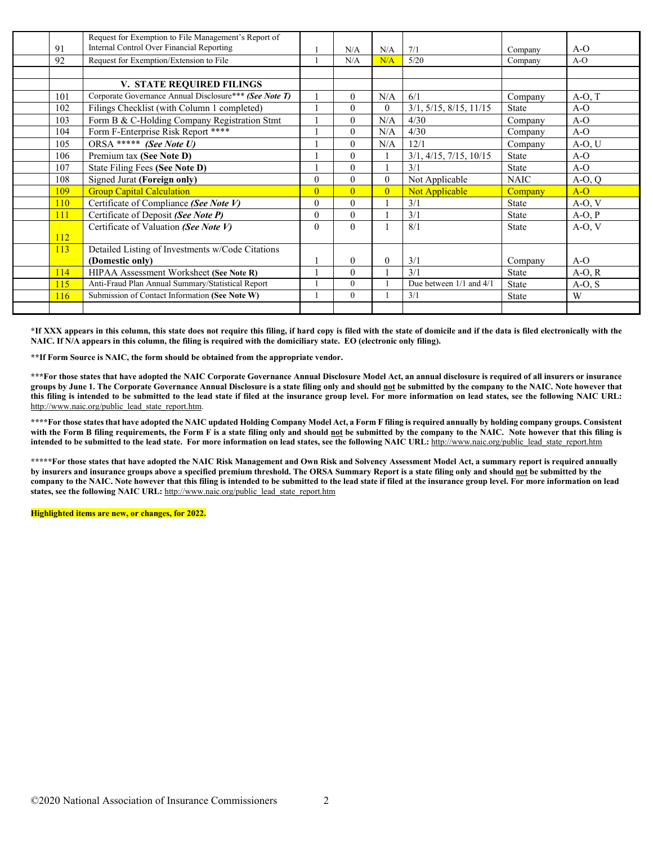|     | Request for Exemption to File Management's Report of   |                |                |                |                         |              |          |
|-----|--------------------------------------------------------|----------------|----------------|----------------|-------------------------|--------------|----------|
| 91  | Internal Control Over Financial Reporting              |                | N/A            | N/A            | 7/1                     | Company      | $A-O$    |
| 92  | Request for Exemption/Extension to File                |                | N/A            | N/A            | 5/20                    | Company      | $A-O$    |
|     |                                                        |                |                |                |                         |              |          |
|     | V. STATE REQUIRED FILINGS                              |                |                |                |                         |              |          |
| 101 | Corporate Governance Annual Disclosure*** (See Note T) |                | $\theta$       | N/A            | 6/1                     | Company      | $A-O, T$ |
| 102 | Filings Checklist (with Column 1 completed)            |                | $\theta$       | $\theta$       | 3/1, 5/15, 8/15, 11/15  | <b>State</b> | $A-O$    |
| 103 | Form B & C-Holding Company Registration Stmt           |                | $\theta$       | N/A            | 4/30                    | Company      | $A-O$    |
| 104 | Form F-Enterprise Risk Report ****                     |                | $\mathbf{0}$   | N/A            | 4/30                    | Company      | $A-O$    |
| 105 | ORSA ***** (See Note U)                                |                | $\theta$       | N/A            | 12/1                    | Company      | $A-O, U$ |
| 106 | Premium tax (See Note D)                               |                | $\theta$       |                | 3/1, 4/15, 7/15, 10/15  | <b>State</b> | $A-O$    |
| 107 | State Filing Fees (See Note D)                         |                | $\theta$       |                | 3/1                     | State        | $A-O$    |
| 108 | Signed Jurat (Foreign only)                            | $\mathbf{0}$   | $\theta$       | $\theta$       | Not Applicable          | <b>NAIC</b>  | $A-O, Q$ |
| 109 | <b>Group Capital Calculation</b>                       | $\overline{0}$ | $\overline{0}$ | $\overline{0}$ | Not Applicable          | Company      | $A-O$    |
| 110 | Certificate of Compliance (See Note V)                 | $\mathbf{0}$   | $\theta$       |                | 3/1                     | <b>State</b> | $A-O, V$ |
| 111 | Certificate of Deposit (See Note P)                    | $\mathbf{0}$   | $\theta$       |                | 3/1                     | <b>State</b> | $A-O, P$ |
|     | Certificate of Valuation (See Note V)                  | $\theta$       | $\theta$       |                | 8/1                     | <b>State</b> | $A-O, V$ |
| 112 |                                                        |                |                |                |                         |              |          |
| 113 | Detailed Listing of Investments w/Code Citations       |                |                |                |                         |              |          |
|     | (Domestic only)                                        |                | $\theta$       | $\theta$       | 3/1                     | Company      | $A-O$    |
| 114 | HIPAA Assessment Worksheet (See Note R)                |                | $\theta$       |                | 3/1                     | <b>State</b> | $A-O, R$ |
| 115 | Anti-Fraud Plan Annual Summary/Statistical Report      |                | $\mathbf{0}$   |                | Due between 1/1 and 4/1 | <b>State</b> | $A-O, S$ |
| 116 | Submission of Contact Information (See Note W)         |                | $\mathbf{0}$   |                | 3/1                     | <b>State</b> | W        |
|     |                                                        |                |                |                |                         |              |          |

**\*If XXX appears in this column, this state does not require this filing, if hard copy is filed with the state of domicile and if the data is filed electronically with the NAIC. If N/A appears in this column, the filing is required with the domiciliary state. EO (electronic only filing).**

**\*\*If Form Source is NAIC, the form should be obtained from the appropriate vendor.** 

**\*\*\*For those states that have adopted the NAIC Corporate Governance Annual Disclosure Model Act, an annual disclosure is required of all insurers or insurance groups by June 1. The Corporate Governance Annual Disclosure is a state filing only and should not be submitted by the company to the NAIC. Note however that this filing is intended to be submitted to the lead state if filed at the insurance group level. For more information on lead states, see the following NAIC URL:**  [http://www.naic.org/public\\_lead\\_state\\_report.htm.](http://www.naic.org/public_lead_state_report.htm)

**\*\*\*\*For those states that have adopted the NAIC updated Holding Company Model Act, a Form F filing is required annually by holding company groups. Consistent with the Form B filing requirements, the Form F is a state filing only and should not be submitted by the company to the NAIC. Note however that this filing is intended to be submitted to the lead state. For more information on lead states, see the following NAIC URL:** [http://www.naic.org/public\\_lead\\_state\\_report.htm](http://www.naic.org/public_lead_state_report.htm)

**\*\*\*\*\*For those states that have adopted the NAIC Risk Management and Own Risk and Solvency Assessment Model Act, a summary report is required annually by insurers and insurance groups above a specified premium threshold. The ORSA Summary Report is a state filing only and should not be submitted by the company to the NAIC. Note however that this filing is intended to be submitted to the lead state if filed at the insurance group level. For more information on lead**  states, see the following NAIC URL: [http://www.naic.org/public\\_lead\\_state\\_report.htm](http://www.naic.org/public_lead_state_report.htm)

**Highlighted items are new, or changes, for 2022.**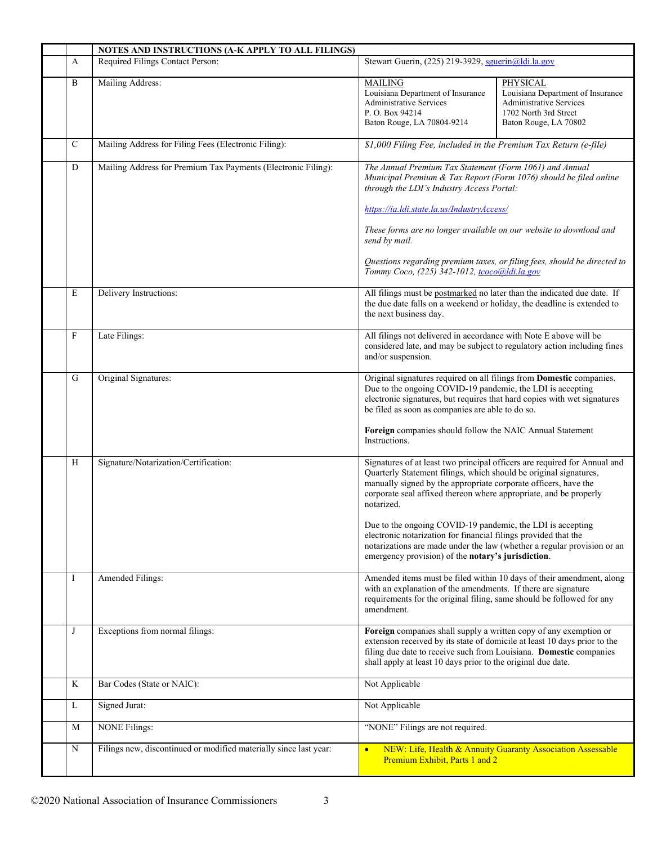|             | NOTES AND INSTRUCTIONS (A-K APPLY TO ALL FILINGS)                                      |                                                                                                                                                                                                                                                                                                                                                  |                                                                                                                                   |  |  |
|-------------|----------------------------------------------------------------------------------------|--------------------------------------------------------------------------------------------------------------------------------------------------------------------------------------------------------------------------------------------------------------------------------------------------------------------------------------------------|-----------------------------------------------------------------------------------------------------------------------------------|--|--|
| A           | Required Filings Contact Person:<br>Stewart Guerin, (225) 219-3929, sguerin@ldi.la.gov |                                                                                                                                                                                                                                                                                                                                                  |                                                                                                                                   |  |  |
| B           | Mailing Address:                                                                       | <b>MAILING</b><br>Louisiana Department of Insurance<br><b>Administrative Services</b><br>P. O. Box 94214<br>Baton Rouge, LA 70804-9214                                                                                                                                                                                                           | PHYSICAL<br>Louisiana Department of Insurance<br><b>Administrative Services</b><br>1702 North 3rd Street<br>Baton Rouge, LA 70802 |  |  |
| C           | Mailing Address for Filing Fees (Electronic Filing):                                   | \$1,000 Filing Fee, included in the Premium Tax Return (e-file)                                                                                                                                                                                                                                                                                  |                                                                                                                                   |  |  |
| ${\bf D}$   | Mailing Address for Premium Tax Payments (Electronic Filing):                          | The Annual Premium Tax Statement (Form 1061) and Annual<br>Municipal Premium & Tax Report (Form 1076) should be filed online<br>through the LDI's Industry Access Portal:                                                                                                                                                                        |                                                                                                                                   |  |  |
|             |                                                                                        | https://ia.ldi.state.la.us/IndustryAccess/<br>These forms are no longer available on our website to download and<br>send by mail.                                                                                                                                                                                                                |                                                                                                                                   |  |  |
|             |                                                                                        | Tommy Coco, (225) 342-1012, tcoco@ldi.la.gov                                                                                                                                                                                                                                                                                                     | Questions regarding premium taxes, or filing fees, should be directed to                                                          |  |  |
| E           | Delivery Instructions:                                                                 | All filings must be postmarked no later than the indicated due date. If<br>the due date falls on a weekend or holiday, the deadline is extended to<br>the next business day.                                                                                                                                                                     |                                                                                                                                   |  |  |
| F           | Late Filings:                                                                          | All filings not delivered in accordance with Note E above will be<br>considered late, and may be subject to regulatory action including fines<br>and/or suspension.                                                                                                                                                                              |                                                                                                                                   |  |  |
| G           | Original Signatures:                                                                   | Original signatures required on all filings from Domestic companies.<br>Due to the ongoing COVID-19 pandemic, the LDI is accepting<br>electronic signatures, but requires that hard copies with wet signatures<br>be filed as soon as companies are able to do so.<br>Foreign companies should follow the NAIC Annual Statement<br>Instructions. |                                                                                                                                   |  |  |
| H           | Signature/Notarization/Certification:                                                  | Quarterly Statement filings, which should be original signatures,<br>manually signed by the appropriate corporate officers, have the<br>corporate seal affixed thereon where appropriate, and be properly<br>notarized.<br>Due to the ongoing COVID-19 pandemic, the LDI is accepting                                                            | Signatures of at least two principal officers are required for Annual and                                                         |  |  |
|             |                                                                                        | electronic notarization for financial filings provided that the<br>notarizations are made under the law (whether a regular provision or an<br>emergency provision) of the notary's jurisdiction.                                                                                                                                                 |                                                                                                                                   |  |  |
| I           | Amended Filings:                                                                       | with an explanation of the amendments. If there are signature<br>requirements for the original filing, same should be followed for any<br>amendment.                                                                                                                                                                                             | Amended items must be filed within 10 days of their amendment, along                                                              |  |  |
| J           | Exceptions from normal filings:                                                        | Foreign companies shall supply a written copy of any exemption or<br>extension received by its state of domicile at least 10 days prior to the<br>filing due date to receive such from Louisiana. Domestic companies<br>shall apply at least 10 days prior to the original due date.                                                             |                                                                                                                                   |  |  |
| $\rm K$     | Bar Codes (State or NAIC):                                                             | Not Applicable                                                                                                                                                                                                                                                                                                                                   |                                                                                                                                   |  |  |
| L           | Signed Jurat:                                                                          | Not Applicable                                                                                                                                                                                                                                                                                                                                   |                                                                                                                                   |  |  |
| M           | <b>NONE Filings:</b>                                                                   | "NONE" Filings are not required.                                                                                                                                                                                                                                                                                                                 |                                                                                                                                   |  |  |
| $\mathbf N$ | Filings new, discontinued or modified materially since last year:                      | $\bullet$<br>Premium Exhibit, Parts 1 and 2                                                                                                                                                                                                                                                                                                      | NEW: Life, Health & Annuity Guaranty Association Assessable                                                                       |  |  |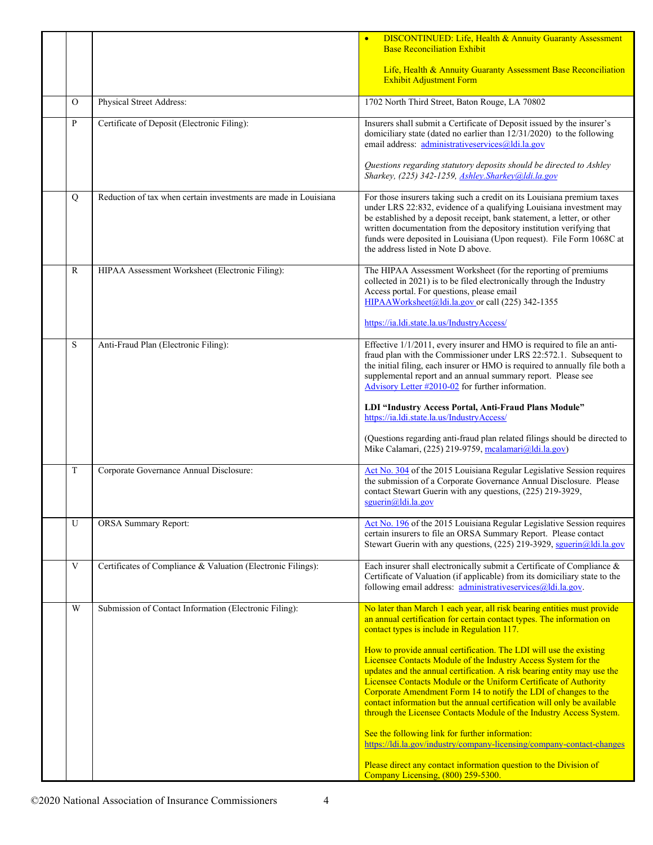|                |                                                                 | <b>DISCONTINUED:</b> Life, Health & Annuity Guaranty Assessment<br><b>Base Reconciliation Exhibit</b>                                                                                                                                                                                                                                                                                                                                                                                                    |
|----------------|-----------------------------------------------------------------|----------------------------------------------------------------------------------------------------------------------------------------------------------------------------------------------------------------------------------------------------------------------------------------------------------------------------------------------------------------------------------------------------------------------------------------------------------------------------------------------------------|
|                |                                                                 | Life, Health & Annuity Guaranty Assessment Base Reconciliation<br><b>Exhibit Adjustment Form</b>                                                                                                                                                                                                                                                                                                                                                                                                         |
| $\overline{O}$ | Physical Street Address:                                        | 1702 North Third Street, Baton Rouge, LA 70802                                                                                                                                                                                                                                                                                                                                                                                                                                                           |
| P              | Certificate of Deposit (Electronic Filing):                     | Insurers shall submit a Certificate of Deposit issued by the insurer's<br>domiciliary state (dated no earlier than 12/31/2020) to the following<br>email address: administrativeservices@ldi.la.gov                                                                                                                                                                                                                                                                                                      |
|                |                                                                 | Questions regarding statutory deposits should be directed to Ashley<br>Sharkey, (225) 342-1259, Ashley.Sharkey@ldi.la.gov                                                                                                                                                                                                                                                                                                                                                                                |
| Q              | Reduction of tax when certain investments are made in Louisiana | For those insurers taking such a credit on its Louisiana premium taxes<br>under LRS 22:832, evidence of a qualifying Louisiana investment may<br>be established by a deposit receipt, bank statement, a letter, or other<br>written documentation from the depository institution verifying that<br>funds were deposited in Louisiana (Upon request). File Form 1068C at<br>the address listed in Note D above.                                                                                          |
| $\mathbb{R}$   | HIPAA Assessment Worksheet (Electronic Filing):                 | The HIPAA Assessment Worksheet (for the reporting of premiums<br>collected in 2021) is to be filed electronically through the Industry<br>Access portal. For questions, please email<br>HIPAAWorksheet@ldi.la.gov or call (225) 342-1355                                                                                                                                                                                                                                                                 |
|                |                                                                 | https://ia.ldi.state.la.us/IndustryAccess/                                                                                                                                                                                                                                                                                                                                                                                                                                                               |
| $\mathbf S$    | Anti-Fraud Plan (Electronic Filing):                            | Effective 1/1/2011, every insurer and HMO is required to file an anti-<br>fraud plan with the Commissioner under LRS 22:572.1. Subsequent to<br>the initial filing, each insurer or HMO is required to annually file both a<br>supplemental report and an annual summary report. Please see<br>Advisory Letter #2010-02 for further information.                                                                                                                                                         |
|                |                                                                 | LDI "Industry Access Portal, Anti-Fraud Plans Module"<br>https://ia.ldi.state.la.us/IndustryAccess/                                                                                                                                                                                                                                                                                                                                                                                                      |
|                |                                                                 | (Questions regarding anti-fraud plan related filings should be directed to<br>Mike Calamari, (225) 219-9759, mcalamari@ldi.la.gov)                                                                                                                                                                                                                                                                                                                                                                       |
| T              | Corporate Governance Annual Disclosure:                         | Act No. 304 of the 2015 Louisiana Regular Legislative Session requires<br>the submission of a Corporate Governance Annual Disclosure. Please<br>contact Stewart Guerin with any questions, (225) 219-3929,<br>$sguerin(a)$ ldi.la.gov                                                                                                                                                                                                                                                                    |
| U              | <b>ORSA Summary Report:</b>                                     | Act No. 196 of the 2015 Louisiana Regular Legislative Session requires<br>certain insurers to file an ORSA Summary Report. Please contact<br>Stewart Guerin with any questions, (225) 219-3929, sguerin@ldi.la.gov                                                                                                                                                                                                                                                                                       |
| $\mathbf V$    | Certificates of Compliance & Valuation (Electronic Filings):    | Each insurer shall electronically submit a Certificate of Compliance &<br>Certificate of Valuation (if applicable) from its domiciliary state to the<br>following email address: administrativeservices@ldi.la.gov.                                                                                                                                                                                                                                                                                      |
| W              | Submission of Contact Information (Electronic Filing):          | No later than March 1 each year, all risk bearing entities must provide<br>an annual certification for certain contact types. The information on<br>contact types is include in Regulation 117.                                                                                                                                                                                                                                                                                                          |
|                |                                                                 | How to provide annual certification. The LDI will use the existing<br>Licensee Contacts Module of the Industry Access System for the<br>updates and the annual certification. A risk bearing entity may use the<br>Licensee Contacts Module or the Uniform Certificate of Authority<br>Corporate Amendment Form 14 to notify the LDI of changes to the<br>contact information but the annual certification will only be available<br>through the Licensee Contacts Module of the Industry Access System. |
|                |                                                                 | See the following link for further information:<br>https://ldi.la.gov/industry/company-licensing/company-contact-changes                                                                                                                                                                                                                                                                                                                                                                                 |
|                |                                                                 | Please direct any contact information question to the Division of<br>Company Licensing, (800) 259-5300.                                                                                                                                                                                                                                                                                                                                                                                                  |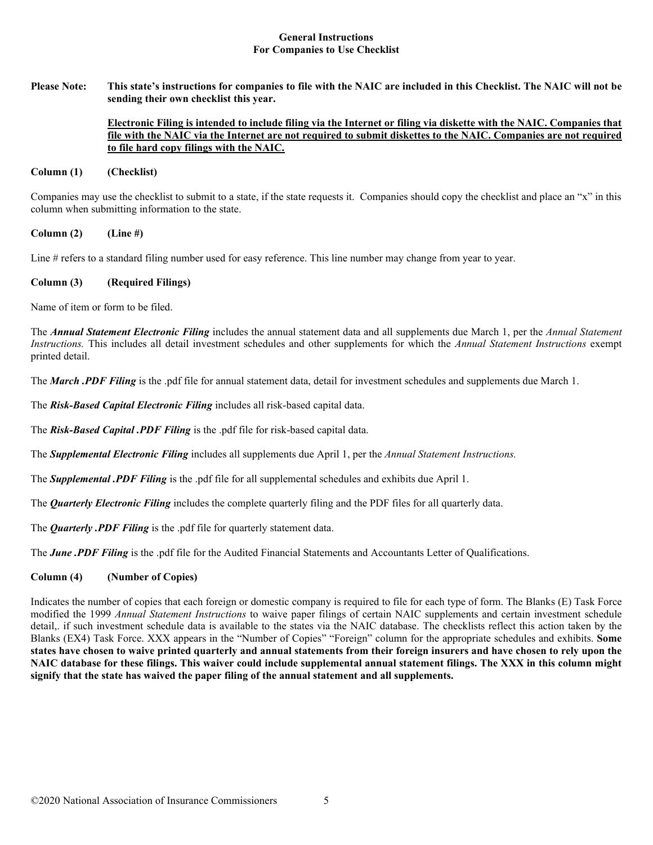### **General Instructions For Companies to Use Checklist**

**Please Note: This state's instructions for companies to file with the NAIC are included in this Checklist. The NAIC will not be sending their own checklist this year.** 

### **Electronic Filing is intended to include filing via the Internet or filing via diskette with the NAIC. Companies that file with the NAIC via the Internet are not required to submit diskettes to the NAIC. Companies are not required to file hard copy filings with the NAIC.**

### **Column (1) (Checklist)**

Companies may use the checklist to submit to a state, if the state requests it. Companies should copy the checklist and place an "x" in this column when submitting information to the state.

**Column (2) (Line #)**

Line # refers to a standard filing number used for easy reference. This line number may change from year to year.

## **Column (3) (Required Filings)**

Name of item or form to be filed.

The *Annual Statement Electronic Filing* includes the annual statement data and all supplements due March 1, per the *Annual Statement Instructions.* This includes all detail investment schedules and other supplements for which the *Annual Statement Instructions* exempt printed detail.

The *March .PDF Filing* is the .pdf file for annual statement data, detail for investment schedules and supplements due March 1.

The *Risk-Based Capital Electronic Filing* includes all risk-based capital data.

The *Risk-Based Capital .PDF Filing* is the .pdf file for risk-based capital data.

The *Supplemental Electronic Filing* includes all supplements due April 1, per the *Annual Statement Instructions.* 

The *Supplemental .PDF Filing* is the .pdf file for all supplemental schedules and exhibits due April 1.

The *Quarterly Electronic Filing* includes the complete quarterly filing and the PDF files for all quarterly data.

The *Quarterly .PDF Filing* is the .pdf file for quarterly statement data.

The **June** .PDF Filing is the .pdf file for the Audited Financial Statements and Accountants Letter of Oualifications.

## **Column (4) (Number of Copies)**

Indicates the number of copies that each foreign or domestic company is required to file for each type of form. The Blanks (E) Task Force modified the 1999 *Annual Statement Instructions* to waive paper filings of certain NAIC supplements and certain investment schedule detail,. if such investment schedule data is available to the states via the NAIC database. The checklists reflect this action taken by the Blanks (EX4) Task Force. XXX appears in the "Number of Copies" "Foreign" column for the appropriate schedules and exhibits. **Some states have chosen to waive printed quarterly and annual statements from their foreign insurers and have chosen to rely upon the NAIC database for these filings. This waiver could include supplemental annual statement filings. The XXX in this column might signify that the state has waived the paper filing of the annual statement and all supplements.**